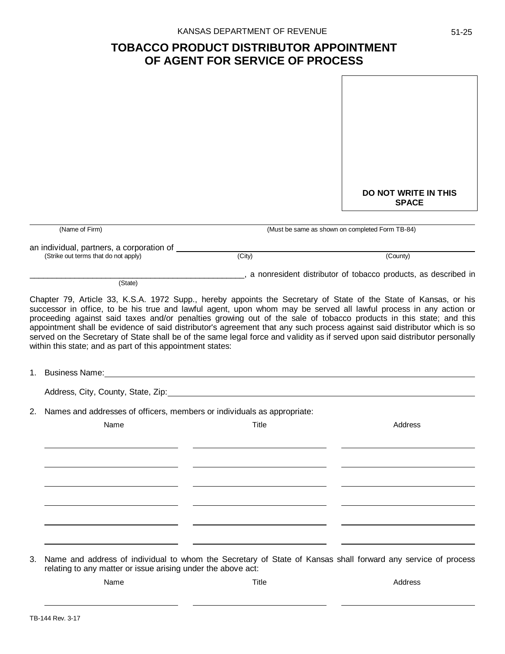## **TOBACCO PRODUCT DISTRIBUTOR APPOINTMENT OF AGENT FOR SERVICE OF PROCESS**

|    |                                                                                                                                                                              |                                                                                                                                                                                                                                                                                                                                                                                | <b>DO NOT WRITE IN THIS</b><br><b>SPACE</b>                    |  |
|----|------------------------------------------------------------------------------------------------------------------------------------------------------------------------------|--------------------------------------------------------------------------------------------------------------------------------------------------------------------------------------------------------------------------------------------------------------------------------------------------------------------------------------------------------------------------------|----------------------------------------------------------------|--|
|    | (Name of Firm)                                                                                                                                                               |                                                                                                                                                                                                                                                                                                                                                                                | (Must be same as shown on completed Form TB-84)                |  |
|    | an individual, partners, a corporation of _____________                                                                                                                      |                                                                                                                                                                                                                                                                                                                                                                                |                                                                |  |
|    | (Strike out terms that do not apply)                                                                                                                                         | (City)                                                                                                                                                                                                                                                                                                                                                                         | (County)                                                       |  |
|    | (State)                                                                                                                                                                      |                                                                                                                                                                                                                                                                                                                                                                                | a nonresident distributor of tobacco products, as described in |  |
|    | within this state; and as part of this appointment states:                                                                                                                   | proceeding against said taxes and/or penalties growing out of the sale of tobacco products in this state; and this<br>appointment shall be evidence of said distributor's agreement that any such process against said distributor which is so<br>served on the Secretary of State shall be of the same legal force and validity as if served upon said distributor personally |                                                                |  |
|    |                                                                                                                                                                              |                                                                                                                                                                                                                                                                                                                                                                                |                                                                |  |
| 2. | Names and addresses of officers, members or individuals as appropriate:                                                                                                      |                                                                                                                                                                                                                                                                                                                                                                                |                                                                |  |
|    | Name                                                                                                                                                                         | Title                                                                                                                                                                                                                                                                                                                                                                          | Address                                                        |  |
|    |                                                                                                                                                                              |                                                                                                                                                                                                                                                                                                                                                                                |                                                                |  |
|    |                                                                                                                                                                              |                                                                                                                                                                                                                                                                                                                                                                                |                                                                |  |
| З. | Name and address of individual to whom the Secretary of State of Kansas shall forward any service of process<br>relating to any matter or issue arising under the above act: |                                                                                                                                                                                                                                                                                                                                                                                |                                                                |  |
|    | Name                                                                                                                                                                         | Title                                                                                                                                                                                                                                                                                                                                                                          | Address                                                        |  |